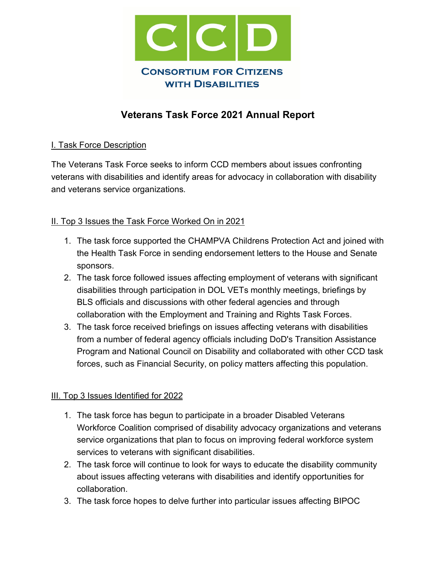

# **Veterans Task Force 2021 Annual Report**

## I. Task Force Description

The Veterans Task Force seeks to inform CCD members about issues confronting veterans with disabilities and identify areas for advocacy in collaboration with disability and veterans service organizations.

## II. Top 3 Issues the Task Force Worked On in 2021

- 1. The task force supported the CHAMPVA Childrens Protection Act and joined with the Health Task Force in sending endorsement letters to the House and Senate sponsors.
- 2. The task force followed issues affecting employment of veterans with significant disabilities through participation in DOL VETs monthly meetings, briefings by BLS officials and discussions with other federal agencies and through collaboration with the Employment and Training and Rights Task Forces.
- 3. The task force received briefings on issues affecting veterans with disabilities from a number of federal agency officials including DoD's Transition Assistance Program and National Council on Disability and collaborated with other CCD task forces, such as Financial Security, on policy matters affecting this population.

#### III. Top 3 Issues Identified for 2022

- 1. The task force has begun to participate in a broader Disabled Veterans Workforce Coalition comprised of disability advocacy organizations and veterans service organizations that plan to focus on improving federal workforce system services to veterans with significant disabilities.
- 2. The task force will continue to look for ways to educate the disability community about issues affecting veterans with disabilities and identify opportunities for collaboration.
- 3. The task force hopes to delve further into particular issues affecting BIPOC